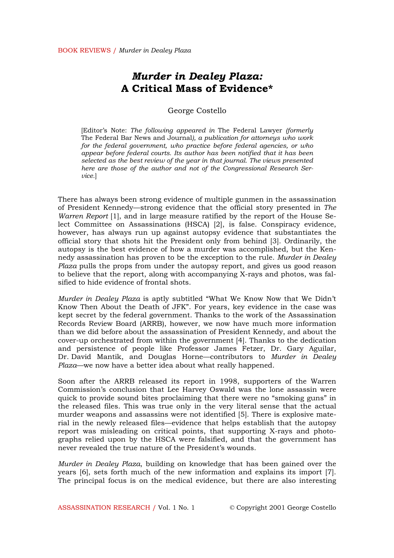# *Murder in Dealey Plaza:*  **A Critical Mass of Evidence\***

George Costello

[Editor's Note: *The following appeared in* The Federal Lawyer *(formerly*  The Federal Bar News and Journal*), a publication for attorneys who work for the federal government, who practice before federal agencies, or who appear before federal courts. Its author has been notified that it has been selected as the best review of the year in that journal. The views presented here are those of the author and not of the Congressional Research Service.*]

There has always been strong evidence of multiple gunmen in the assassination of President Kennedy—strong evidence that the official story presented in *The Warren Report* [1], and in large measure ratified by the report of the House Select Committee on Assassinations (HSCA) [2], is false. Conspiracy evidence, however, has always run up against autopsy evidence that substantiates the official story that shots hit the President only from behind [3]. Ordinarily, the autopsy is the best evidence of how a murder was accomplished, but the Kennedy assassination has proven to be the exception to the rule. *Murder in Dealey Plaza* pulls the props from under the autopsy report, and gives us good reason to believe that the report, along with accompanying X-rays and photos, was falsified to hide evidence of frontal shots.

*Murder in Dealey Plaza* is aptly subtitled "What We Know Now that We Didn't Know Then About the Death of JFK". For years, key evidence in the case was kept secret by the federal government. Thanks to the work of the Assassination Records Review Board (ARRB), however, we now have much more information than we did before about the assassination of President Kennedy, and about the cover-up orchestrated from within the government [4]. Thanks to the dedication and persistence of people like Professor James Fetzer, Dr. Gary Aguilar, Dr. David Mantik, and Douglas Horne—contributors to *Murder in Dealey Plaza*—we now have a better idea about what really happened.

Soon after the ARRB released its report in 1998, supporters of the Warren Commission's conclusion that Lee Harvey Oswald was the lone assassin were quick to provide sound bites proclaiming that there were no "smoking guns" in the released files. This was true only in the very literal sense that the actual murder weapons and assassins were not identified [5]. There is explosive material in the newly released files—evidence that helps establish that the autopsy report was misleading on critical points, that supporting X-rays and photographs relied upon by the HSCA were falsified, and that the government has never revealed the true nature of the President's wounds.

*Murder in Dealey Plaza*, building on knowledge that has been gained over the years [6], sets forth much of the new information and explains its import [7]. The principal focus is on the medical evidence, but there are also interesting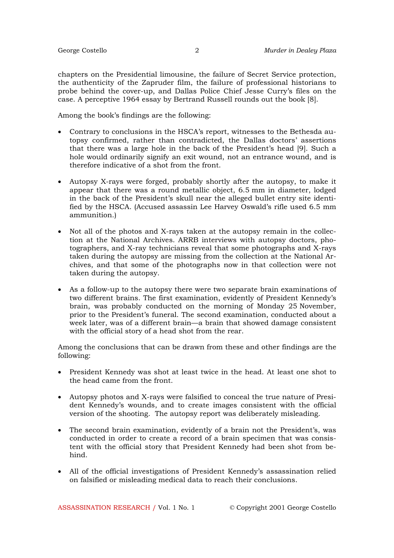chapters on the Presidential limousine, the failure of Secret Service protection, the authenticity of the Zapruder film, the failure of professional historians to probe behind the cover-up, and Dallas Police Chief Jesse Curry's files on the case. A perceptive 1964 essay by Bertrand Russell rounds out the book [8].

Among the book's findings are the following:

- Contrary to conclusions in the HSCA's report, witnesses to the Bethesda autopsy confirmed, rather than contradicted, the Dallas doctors' assertions that there was a large hole in the back of the President's head [9]. Such a hole would ordinarily signify an exit wound, not an entrance wound, and is therefore indicative of a shot from the front.
- Autopsy X-rays were forged, probably shortly after the autopsy, to make it appear that there was a round metallic object, 6.5 mm in diameter, lodged in the back of the President's skull near the alleged bullet entry site identified by the HSCA. (Accused assassin Lee Harvey Oswald's rifle used 6.5 mm ammunition.)
- Not all of the photos and X-rays taken at the autopsy remain in the collection at the National Archives. ARRB interviews with autopsy doctors, photographers, and X-ray technicians reveal that some photographs and X-rays taken during the autopsy are missing from the collection at the National Archives, and that some of the photographs now in that collection were not taken during the autopsy.
- As a follow-up to the autopsy there were two separate brain examinations of two different brains. The first examination, evidently of President Kennedy's brain, was probably conducted on the morning of Monday 25 November, prior to the President's funeral. The second examination, conducted about a week later, was of a different brain—a brain that showed damage consistent with the official story of a head shot from the rear.

Among the conclusions that can be drawn from these and other findings are the following:

- President Kennedy was shot at least twice in the head. At least one shot to the head came from the front.
- Autopsy photos and X-rays were falsified to conceal the true nature of President Kennedy's wounds, and to create images consistent with the official version of the shooting. The autopsy report was deliberately misleading.
- The second brain examination, evidently of a brain not the President's, was conducted in order to create a record of a brain specimen that was consistent with the official story that President Kennedy had been shot from behind.
- All of the official investigations of President Kennedy's assassination relied on falsified or misleading medical data to reach their conclusions.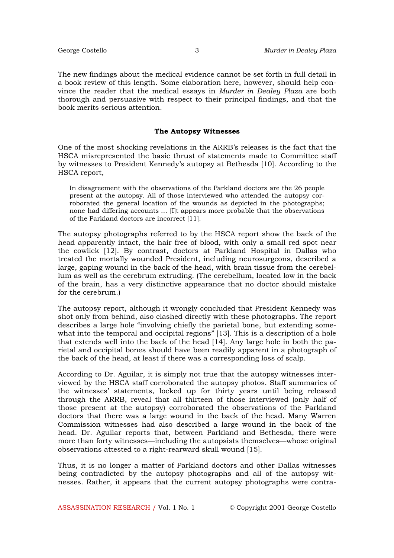The new findings about the medical evidence cannot be set forth in full detail in a book review of this length. Some elaboration here, however, should help convince the reader that the medical essays in *Murder in Dealey Plaza* are both thorough and persuasive with respect to their principal findings, and that the book merits serious attention.

## **The Autopsy Witnesses**

One of the most shocking revelations in the ARRB's releases is the fact that the HSCA misrepresented the basic thrust of statements made to Committee staff by witnesses to President Kennedy's autopsy at Bethesda [10]. According to the HSCA report,

In disagreement with the observations of the Parkland doctors are the 26 people present at the autopsy. All of those interviewed who attended the autopsy corroborated the general location of the wounds as depicted in the photographs; none had differing accounts … [I]t appears more probable that the observations of the Parkland doctors are incorrect [11].

The autopsy photographs referred to by the HSCA report show the back of the head apparently intact, the hair free of blood, with only a small red spot near the cowlick [12]. By contrast, doctors at Parkland Hospital in Dallas who treated the mortally wounded President, including neurosurgeons, described a large, gaping wound in the back of the head, with brain tissue from the cerebellum as well as the cerebrum extruding. (The cerebellum, located low in the back of the brain, has a very distinctive appearance that no doctor should mistake for the cerebrum.)

The autopsy report, although it wrongly concluded that President Kennedy was shot only from behind, also clashed directly with these photographs. The report describes a large hole "involving chiefly the parietal bone, but extending somewhat into the temporal and occipital regions" [13]. This is a description of a hole that extends well into the back of the head [14]. Any large hole in both the parietal and occipital bones should have been readily apparent in a photograph of the back of the head, at least if there was a corresponding loss of scalp.

According to Dr. Aguilar, it is simply not true that the autopsy witnesses interviewed by the HSCA staff corroborated the autopsy photos. Staff summaries of the witnesses' statements, locked up for thirty years until being released through the ARRB, reveal that all thirteen of those interviewed (only half of those present at the autopsy) corroborated the observations of the Parkland doctors that there was a large wound in the back of the head. Many Warren Commission witnesses had also described a large wound in the back of the head. Dr. Aguilar reports that, between Parkland and Bethesda, there were more than forty witnesses—including the autopsists themselves—whose original observations attested to a right-rearward skull wound [15].

Thus, it is no longer a matter of Parkland doctors and other Dallas witnesses being contradicted by the autopsy photographs and all of the autopsy witnesses. Rather, it appears that the current autopsy photographs were contra-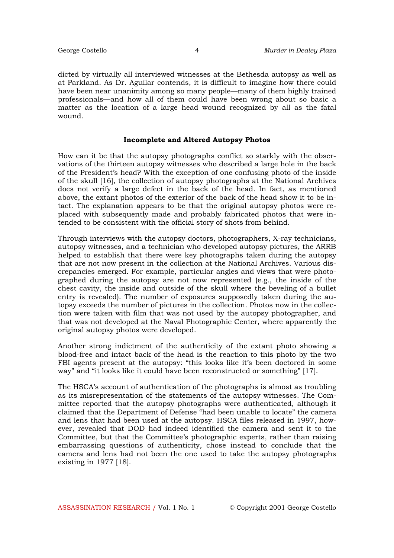dicted by virtually all interviewed witnesses at the Bethesda autopsy as well as at Parkland. As Dr. Aguilar contends, it is difficult to imagine how there could have been near unanimity among so many people—many of them highly trained professionals—and how all of them could have been wrong about so basic a matter as the location of a large head wound recognized by all as the fatal wound.

#### **Incomplete and Altered Autopsy Photos**

How can it be that the autopsy photographs conflict so starkly with the observations of the thirteen autopsy witnesses who described a large hole in the back of the President's head? With the exception of one confusing photo of the inside of the skull [16], the collection of autopsy photographs at the National Archives does not verify a large defect in the back of the head. In fact, as mentioned above, the extant photos of the exterior of the back of the head show it to be intact. The explanation appears to be that the original autopsy photos were replaced with subsequently made and probably fabricated photos that were intended to be consistent with the official story of shots from behind.

Through interviews with the autopsy doctors, photographers, X-ray technicians, autopsy witnesses, and a technician who developed autopsy pictures, the ARRB helped to establish that there were key photographs taken during the autopsy that are not now present in the collection at the National Archives. Various discrepancies emerged. For example, particular angles and views that were photographed during the autopsy are not now represented (e.g., the inside of the chest cavity, the inside and outside of the skull where the beveling of a bullet entry is revealed). The number of exposures supposedly taken during the autopsy exceeds the number of pictures in the collection. Photos now in the collection were taken with film that was not used by the autopsy photographer, and that was not developed at the Naval Photographic Center, where apparently the original autopsy photos were developed.

Another strong indictment of the authenticity of the extant photo showing a blood-free and intact back of the head is the reaction to this photo by the two FBI agents present at the autopsy: "this looks like it's been doctored in some way" and "it looks like it could have been reconstructed or something" [17].

The HSCA's account of authentication of the photographs is almost as troubling as its misrepresentation of the statements of the autopsy witnesses. The Committee reported that the autopsy photographs were authenticated, although it claimed that the Department of Defense "had been unable to locate" the camera and lens that had been used at the autopsy. HSCA files released in 1997, however, revealed that DOD had indeed identified the camera and sent it to the Committee, but that the Committee's photographic experts, rather than raising embarrassing questions of authenticity, chose instead to conclude that the camera and lens had not been the one used to take the autopsy photographs existing in 1977 [18].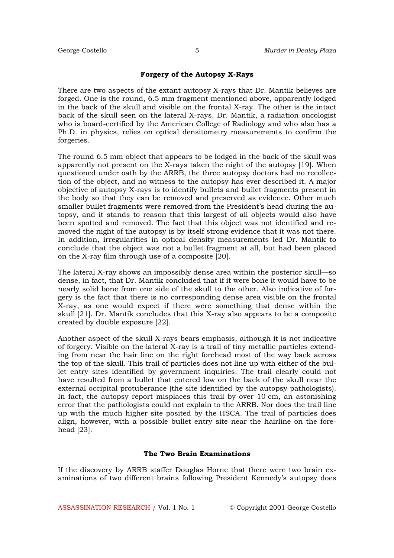#### **Forgery of the Autopsy X-Rays**

There are two aspects of the extant autopsy X-rays that Dr. Mantik believes are forged. One is the round, 6.5 mm fragment mentioned above, apparently lodged in the back of the skull and visible on the frontal X-ray. The other is the intact back of the skull seen on the lateral X-rays. Dr. Mantik, a radiation oncologist who is board-certified by the American College of Radiology and who also has a Ph.D. in physics, relies on optical densitometry measurements to confirm the forgeries.

The round 6.5 mm object that appears to be lodged in the back of the skull was apparently not present on the X-rays taken the night of the autopsy [19]. When questioned under oath by the ARRB, the three autopsy doctors had no recollection of the object, and no witness to the autopsy has ever described it. A major objective of autopsy X-rays is to identify bullets and bullet fragments present in the body so that they can be removed and preserved as evidence. Other much smaller bullet fragments were removed from the President's head during the autopsy, and it stands to reason that this largest of all objects would also have been spotted and removed. The fact that this object was not identified and removed the night of the autopsy is by itself strong evidence that it was not there. In addition, irregularities in optical density measurements led Dr. Mantik to conclude that the object was not a bullet fragment at all, but had been placed on the X-ray film through use of a composite [20].

The lateral X-ray shows an impossibly dense area within the posterior skull—so dense, in fact, that Dr. Mantik concluded that if it were bone it would have to be nearly solid bone from one side of the skull to the other. Also indicative of forgery is the fact that there is no corresponding dense area visible on the frontal X-ray, as one would expect if there were something that dense within the skull [21]. Dr. Mantik concludes that this X-ray also appears to be a composite created by double exposure [22].

Another aspect of the skull X-rays bears emphasis, although it is not indicative of forgery. Visible on the lateral X-ray is a trail of tiny metallic particles extending from near the hair line on the right forehead most of the way back across the top of the skull. This trail of particles does not line up with either of the bullet entry sites identified by government inquiries. The trail clearly could not have resulted from a bullet that entered low on the back of the skull near the external occipital protuberance (the site identified by the autopsy pathologists). In fact, the autopsy report misplaces this trail by over 10 cm, an astonishing error that the pathologists could not explain to the ARRB. Nor does the trail line up with the much higher site posited by the HSCA. The trail of particles does align, however, with a possible bullet entry site near the hairline on the forehead [23].

#### **The Two Brain Examinations**

If the discovery by ARRB staffer Douglas Horne that there were two brain examinations of two different brains following President Kennedy's autopsy does

ASSASSINATION RESEARCH / Vol. 1 No. 1 © Copyright 2001 George Costello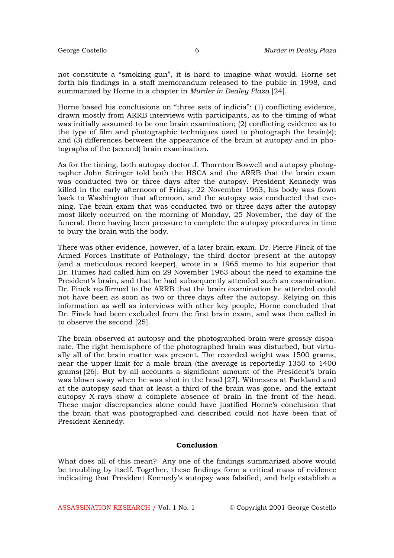not constitute a "smoking gun", it is hard to imagine what would. Horne set forth his findings in a staff memorandum released to the public in 1998, and summarized by Horne in a chapter in *Murder in Dealey Plaza* [24].

Horne based his conclusions on "three sets of indicia": (1) conflicting evidence, drawn mostly from ARRB interviews with participants, as to the timing of what was initially assumed to be one brain examination; (2) conflicting evidence as to the type of film and photographic techniques used to photograph the brain(s); and (3) differences between the appearance of the brain at autopsy and in photographs of the (second) brain examination.

As for the timing, both autopsy doctor J. Thornton Boswell and autopsy photographer John Stringer told both the HSCA and the ARRB that the brain exam was conducted two or three days after the autopsy. President Kennedy was killed in the early afternoon of Friday, 22 November 1963, his body was flown back to Washington that afternoon, and the autopsy was conducted that evening. The brain exam that was conducted two or three days after the autopsy most likely occurred on the morning of Monday, 25 November, the day of the funeral, there having been pressure to complete the autopsy procedures in time to bury the brain with the body.

There was other evidence, however, of a later brain exam. Dr. Pierre Finck of the Armed Forces Institute of Pathology, the third doctor present at the autopsy (and a meticulous record keeper), wrote in a 1965 memo to his superior that Dr. Humes had called him on 29 November 1963 about the need to examine the President's brain, and that he had subsequently attended such an examination. Dr. Finck reaffirmed to the ARRB that the brain examination he attended could not have been as soon as two or three days after the autopsy. Relying on this information as well as interviews with other key people, Horne concluded that Dr. Finck had been excluded from the first brain exam, and was then called in to observe the second [25].

The brain observed at autopsy and the photographed brain were grossly disparate. The right hemisphere of the photographed brain was disturbed, but virtually all of the brain matter was present. The recorded weight was 1500 grams, near the upper limit for a male brain (the average is reportedly 1350 to 1400 grams) [26]. But by all accounts a significant amount of the President's brain was blown away when he was shot in the head [27]. Witnesses at Parkland and at the autopsy said that at least a third of the brain was gone, and the extant autopsy X-rays show a complete absence of brain in the front of the head. These major discrepancies alone could have justified Horne's conclusion that the brain that was photographed and described could not have been that of President Kennedy.

#### **Conclusion**

What does all of this mean? Any one of the findings summarized above would be troubling by itself. Together, these findings form a critical mass of evidence indicating that President Kennedy's autopsy was falsified, and help establish a

ASSASSINATION RESEARCH / Vol. 1 No. 1 © Copyright 2001 George Costello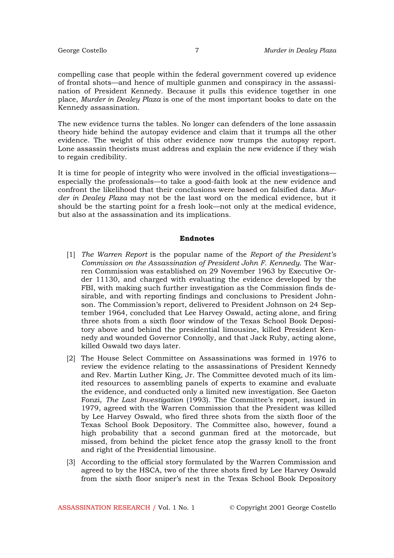compelling case that people within the federal government covered up evidence of frontal shots—and hence of multiple gunmen and conspiracy in the assassination of President Kennedy. Because it pulls this evidence together in one place, *Murder in Dealey Plaza* is one of the most important books to date on the Kennedy assassination.

The new evidence turns the tables. No longer can defenders of the lone assassin theory hide behind the autopsy evidence and claim that it trumps all the other evidence. The weight of this other evidence now trumps the autopsy report. Lone assassin theorists must address and explain the new evidence if they wish to regain credibility.

It is time for people of integrity who were involved in the official investigations especially the professionals—to take a good-faith look at the new evidence and confront the likelihood that their conclusions were based on falsified data. *Murder in Dealey Plaza* may not be the last word on the medical evidence, but it should be the starting point for a fresh look—not only at the medical evidence, but also at the assassination and its implications.

## **Endnotes**

- [1] *The Warren Report* is the popular name of the *Report of the President's Commission on the Assassination of President John F. Kennedy*. The Warren Commission was established on 29 November 1963 by Executive Order 11130, and charged with evaluating the evidence developed by the FBI, with making such further investigation as the Commission finds desirable, and with reporting findings and conclusions to President Johnson. The Commission's report, delivered to President Johnson on 24 September 1964, concluded that Lee Harvey Oswald, acting alone, and firing three shots from a sixth floor window of the Texas School Book Depository above and behind the presidential limousine, killed President Kennedy and wounded Governor Connolly, and that Jack Ruby, acting alone, killed Oswald two days later.
- [2] The House Select Committee on Assassinations was formed in 1976 to review the evidence relating to the assassinations of President Kennedy and Rev. Martin Luther King, Jr. The Committee devoted much of its limited resources to assembling panels of experts to examine and evaluate the evidence, and conducted only a limited new investigation. See Gaeton Fonzi, *The Last Investigation* (1993). The Committee's report, issued in 1979, agreed with the Warren Commission that the President was killed by Lee Harvey Oswald, who fired three shots from the sixth floor of the Texas School Book Depository. The Committee also, however, found a high probability that a second gunman fired at the motorcade, but missed, from behind the picket fence atop the grassy knoll to the front and right of the Presidential limousine.
- [3] According to the official story formulated by the Warren Commission and agreed to by the HSCA, two of the three shots fired by Lee Harvey Oswald from the sixth floor sniper's nest in the Texas School Book Depository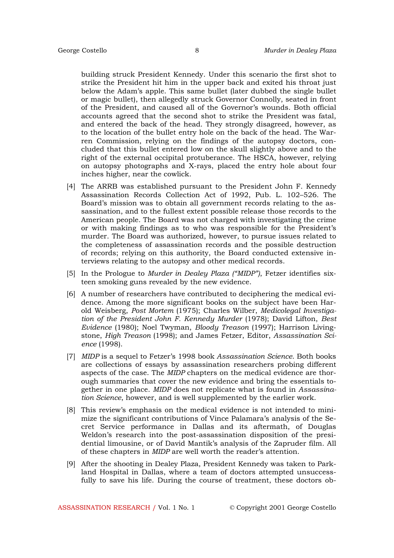building struck President Kennedy. Under this scenario the first shot to strike the President hit him in the upper back and exited his throat just below the Adam's apple. This same bullet (later dubbed the single bullet or magic bullet), then allegedly struck Governor Connolly, seated in front of the President, and caused all of the Governor's wounds. Both official accounts agreed that the second shot to strike the President was fatal, and entered the back of the head. They strongly disagreed, however, as to the location of the bullet entry hole on the back of the head. The Warren Commission, relying on the findings of the autopsy doctors, concluded that this bullet entered low on the skull slightly above and to the right of the external occipital protuberance. The HSCA, however, relying on autopsy photographs and X-rays, placed the entry hole about four inches higher, near the cowlick.

- [4] The ARRB was established pursuant to the President John F. Kennedy Assassination Records Collection Act of 1992, Pub. L. 102–526. The Board's mission was to obtain all government records relating to the assassination, and to the fullest extent possible release those records to the American people. The Board was not charged with investigating the crime or with making findings as to who was responsible for the President's murder. The Board was authorized, however, to pursue issues related to the completeness of assassination records and the possible destruction of records; relying on this authority, the Board conducted extensive interviews relating to the autopsy and other medical records.
- [5] In the Prologue to *Murder in Dealey Plaza ("MIDP")*, Fetzer identifies sixteen smoking guns revealed by the new evidence.
- [6] A number of researchers have contributed to deciphering the medical evidence. Among the more significant books on the subject have been Harold Weisberg, *Post Mortem* (1975); Charles Wilber, *Medicolegal Investigation of the President John F. Kennedy Murder* (1978); David Lifton, *Best Evidence* (1980); Noel Twyman, *Bloody Treason* (1997); Harrison Livingstone, *High Treason* (1998); and James Fetzer, Editor, *Assassination Science* (1998).
- [7] *MIDP* is a sequel to Fetzer's 1998 book *Assassination Science*. Both books are collections of essays by assassination researchers probing different aspects of the case. The *MIDP* chapters on the medical evidence are thorough summaries that cover the new evidence and bring the essentials together in one place. *MIDP* does not replicate what is found in *Assassination Science*, however, and is well supplemented by the earlier work.
- [8] This review's emphasis on the medical evidence is not intended to minimize the significant contributions of Vince Palamara's analysis of the Secret Service performance in Dallas and its aftermath, of Douglas Weldon's research into the post-assassination disposition of the presidential limousine, or of David Mantik's analysis of the Zapruder film. All of these chapters in *MIDP* are well worth the reader's attention.
- [9] After the shooting in Dealey Plaza, President Kennedy was taken to Parkland Hospital in Dallas, where a team of doctors attempted unsuccessfully to save his life. During the course of treatment, these doctors ob-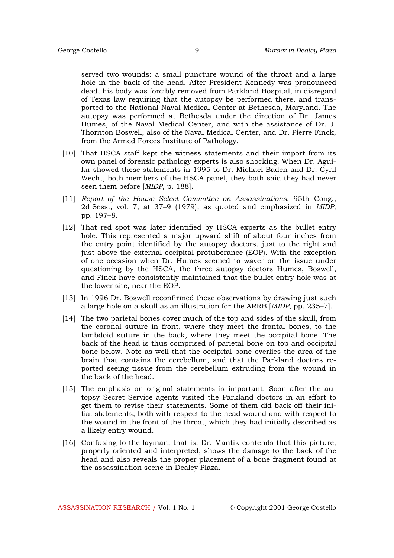served two wounds: a small puncture wound of the throat and a large hole in the back of the head. After President Kennedy was pronounced dead, his body was forcibly removed from Parkland Hospital, in disregard of Texas law requiring that the autopsy be performed there, and transported to the National Naval Medical Center at Bethesda, Maryland. The autopsy was performed at Bethesda under the direction of Dr. James Humes, of the Naval Medical Center, and with the assistance of Dr. J. Thornton Boswell, also of the Naval Medical Center, and Dr. Pierre Finck, from the Armed Forces Institute of Pathology.

- [10] That HSCA staff kept the witness statements and their import from its own panel of forensic pathology experts is also shocking. When Dr. Aguilar showed these statements in 1995 to Dr. Michael Baden and Dr. Cyril Wecht, both members of the HSCA panel, they both said they had never seen them before [*MIDP*, p. 188].
- [11] *Report of the House Select Committee on Assassinations*, 95th Cong., 2d Sess., vol. 7, at 37–9 (1979), as quoted and emphasized in *MIDP*, pp. 197–8.
- [12] That red spot was later identified by HSCA experts as the bullet entry hole. This represented a major upward shift of about four inches from the entry point identified by the autopsy doctors, just to the right and just above the external occipital protuberance (EOP). With the exception of one occasion when Dr. Humes seemed to waver on the issue under questioning by the HSCA, the three autopsy doctors Humes, Boswell, and Finck have consistently maintained that the bullet entry hole was at the lower site, near the EOP.
- [13] In 1996 Dr. Boswell reconfirmed these observations by drawing just such a large hole on a skull as an illustration for the ARRB [*MIDP*, pp. 235–7].
- [14] The two parietal bones cover much of the top and sides of the skull, from the coronal suture in front, where they meet the frontal bones, to the lambdoid suture in the back, where they meet the occipital bone. The back of the head is thus comprised of parietal bone on top and occipital bone below. Note as well that the occipital bone overlies the area of the brain that contains the cerebellum, and that the Parkland doctors reported seeing tissue from the cerebellum extruding from the wound in the back of the head.
- [15] The emphasis on original statements is important. Soon after the autopsy Secret Service agents visited the Parkland doctors in an effort to get them to revise their statements. Some of them did back off their initial statements, both with respect to the head wound and with respect to the wound in the front of the throat, which they had initially described as a likely entry wound.
- [16] Confusing to the layman, that is. Dr. Mantik contends that this picture, properly oriented and interpreted, shows the damage to the back of the head and also reveals the proper placement of a bone fragment found at the assassination scene in Dealey Plaza.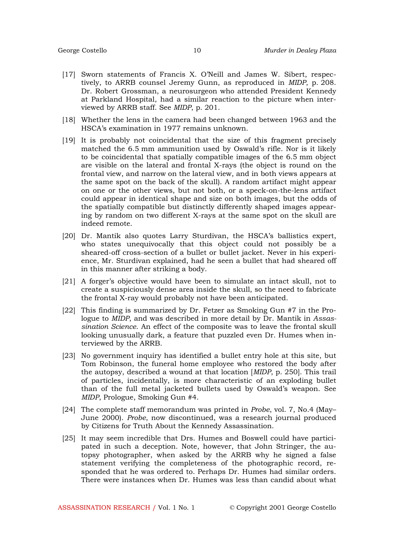- [17] Sworn statements of Francis X. O'Neill and James W. Sibert, respectively, to ARRB counsel Jeremy Gunn, as reproduced in *MIDP*, p. 208. Dr. Robert Grossman, a neurosurgeon who attended President Kennedy at Parkland Hospital, had a similar reaction to the picture when interviewed by ARRB staff. See *MIDP*, p. 201.
- [18] Whether the lens in the camera had been changed between 1963 and the HSCA's examination in 1977 remains unknown.
- [19] It is probably not coincidental that the size of this fragment precisely matched the 6.5 mm ammunition used by Oswald's rifle. Nor is it likely to be coincidental that spatially compatible images of the 6.5 mm object are visible on the lateral and frontal X-rays (the object is round on the frontal view, and narrow on the lateral view, and in both views appears at the same spot on the back of the skull). A random artifact might appear on one or the other views, but not both, or a speck-on-the-lens artifact could appear in identical shape and size on both images, but the odds of the spatially compatible but distinctly differently shaped images appearing by random on two different X-rays at the same spot on the skull are indeed remote.
- [20] Dr. Mantik also quotes Larry Sturdivan, the HSCA's ballistics expert, who states unequivocally that this object could not possibly be a sheared-off cross-section of a bullet or bullet jacket. Never in his experience, Mr. Sturdivan explained, had he seen a bullet that had sheared off in this manner after striking a body.
- [21] A forger's objective would have been to simulate an intact skull, not to create a suspiciously dense area inside the skull, so the need to fabricate the frontal X-ray would probably not have been anticipated.
- [22] This finding is summarized by Dr. Fetzer as Smoking Gun #7 in the Prologue to *MIDP*, and was described in more detail by Dr. Mantik in *Assassination Science*. An effect of the composite was to leave the frontal skull looking unusually dark, a feature that puzzled even Dr. Humes when interviewed by the ARRB.
- [23] No government inquiry has identified a bullet entry hole at this site, but Tom Robinson, the funeral home employee who restored the body after the autopsy, described a wound at that location [*MIDP*, p. 250]. This trail of particles, incidentally, is more characteristic of an exploding bullet than of the full metal jacketed bullets used by Oswald's weapon. See *MIDP*, Prologue, Smoking Gun #4.
- [24] The complete staff memorandum was printed in *Probe*, vol. 7, No.4 (May– June 2000). *Probe*, now discontinued, was a research journal produced by Citizens for Truth About the Kennedy Assassination.
- [25] It may seem incredible that Drs. Humes and Boswell could have participated in such a deception. Note, however, that John Stringer, the autopsy photographer, when asked by the ARRB why he signed a false statement verifying the completeness of the photographic record, responded that he was ordered to. Perhaps Dr. Humes had similar orders. There were instances when Dr. Humes was less than candid about what